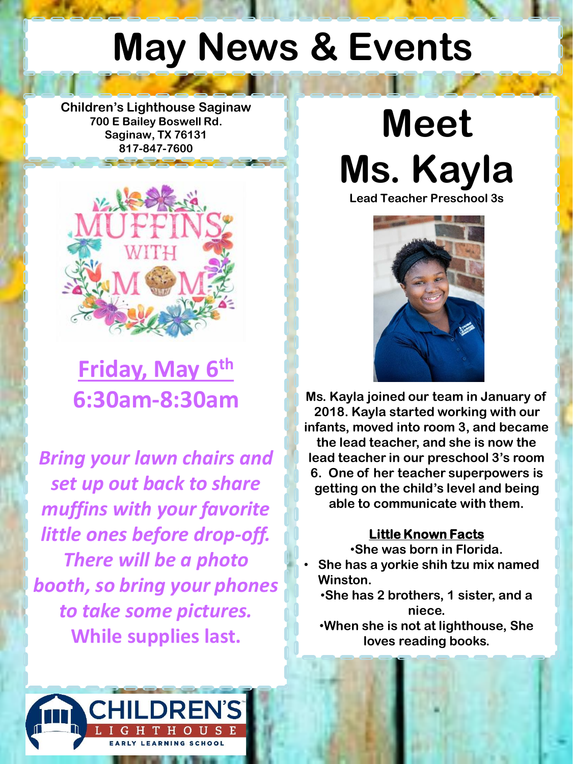## **May News & Events**

**Children's Lighthouse Saginaw 700 E Bailey Boswell Rd. Saginaw, TX 76131 817-847-7600**



**Friday, May 6th 6:30am-8:30am**

*Bring your lawn chairs and set up out back to share muffins with your favorite little ones before drop-off. There will be a photo booth, so bring your phones to take some pictures.* **While supplies last.**





**Ms. Kayla joined our team in January of 2018. Kayla started working with our infants, moved into room 3, and became the lead teacher, and she is now the lead teacher in our preschool 3's room 6. One of her teacher superpowers is getting on the child's level and being able to communicate with them.** 

#### **Little Known Facts**

•**She was born in Florida.** 

- **She has a yorkie shih tzu mix named Winston.**
	- •**She has 2 brothers, 1 sister, and a niece.**
- •**When she is not at lighthouse, She loves reading books.**

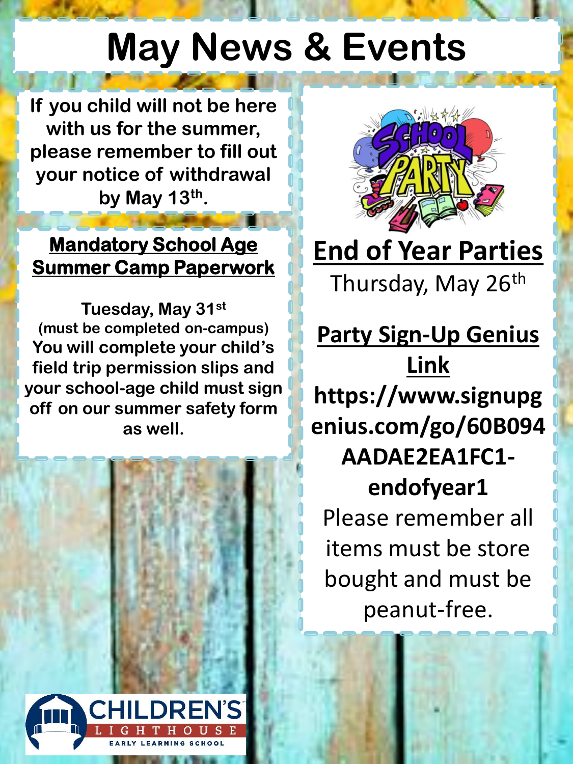## **May News & Events**

**If you child will not be here with us for the summer, please remember to fill out your notice of withdrawal by May 13th .**

### **Mandatory School Age Summer Camp Paperwork**

**Tuesday, May 31st (must be completed on-campus) You will complete your child's field trip permission slips and your school-age child must sign off on our summer safety form as well.**





**End of Year Parties**  Thursday, May 26<sup>th</sup>

**Party Sign-Up Genius Link https://www.signupg enius.com/go/60B094 AADAE2EA1FC1 endofyear1** Please remember all items must be store bought and must be peanut-free.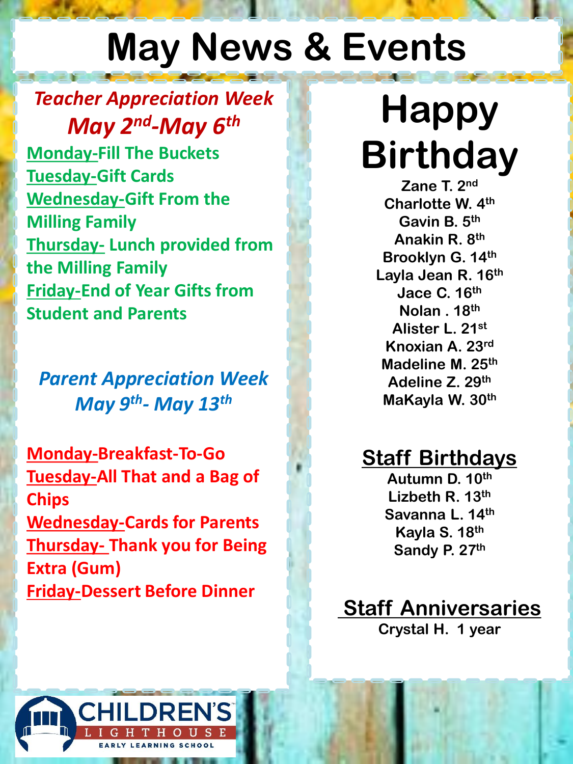# **May News & Events**

## *Teacher Appreciation Week May 2nd -May 6th*

**Monday-Fill The Buckets Tuesday-Gift Cards Wednesday-Gift From the Milling Family Thursday- Lunch provided from the Milling Family Friday-End of Year Gifts from Student and Parents**

*Parent Appreciation Week May 9th - May 13th*

**Monday-Breakfast-To-Go Tuesday-All That and a Bag of Chips Wednesday-Cards for Parents Thursday- Thank you for Being Extra (Gum) Friday-Dessert Before Dinner**

# **Happy Birthday**

**Zane T. 2nd Charlotte W. 4th Gavin B. 5th Anakin R. 8th Brooklyn G. 14th Layla Jean R. 16th Jace C. 16th Nolan . 18th Alister L. 21st Knoxian A. 23rd Madeline M. 25th Adeline Z. 29th MaKayla W. 30th**

## **Staff Birthdays**

**Autumn D. 10th Lizbeth R. 13th Savanna L. 14th Kayla S. 18th Sandy P. 27th**

**Staff Anniversaries Crystal H. 1 year**

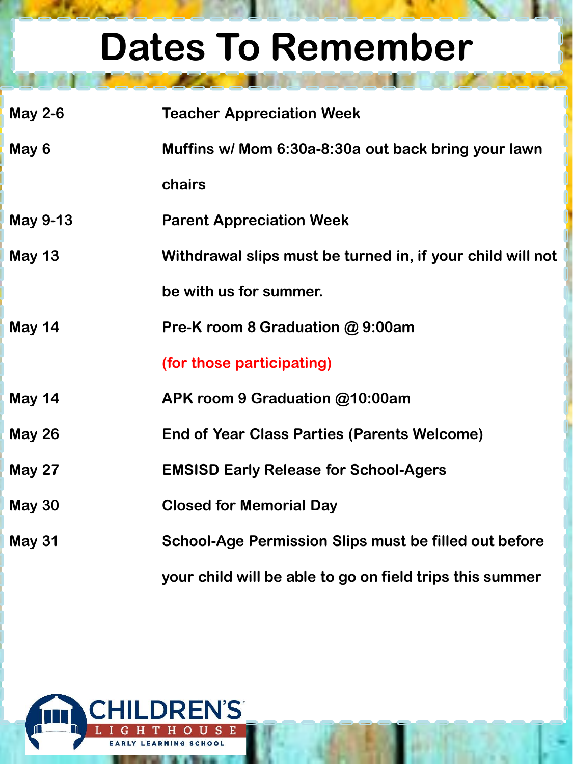# **Dates To Remember**

| <b>May 2-6</b> | <b>Teacher Appreciation Week</b>                             |
|----------------|--------------------------------------------------------------|
| May 6          | Muffins w/ Mom 6:30a-8:30a out back bring your lawn          |
|                | chairs                                                       |
| May 9-13       | <b>Parent Appreciation Week</b>                              |
| <b>May 13</b>  | Withdrawal slips must be turned in, if your child will not   |
|                | be with us for summer.                                       |
| <b>May 14</b>  | Pre-K room 8 Graduation @ 9:00am                             |
|                | (for those participating)                                    |
| <b>May 14</b>  | APK room 9 Graduation @10:00am                               |
| <b>May 26</b>  | End of Year Class Parties (Parents Welcome)                  |
| <b>May 27</b>  | <b>EMSISD Early Release for School-Agers</b>                 |
| <b>May 30</b>  | <b>Closed for Memorial Day</b>                               |
| <b>May 31</b>  | <b>School-Age Permission Slips must be filled out before</b> |
|                | your child will be able to go on field trips this summer     |

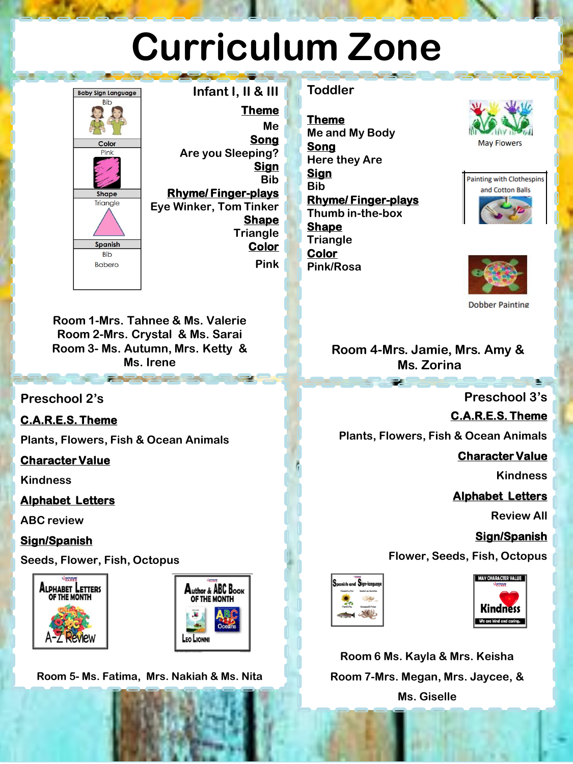# **Curriculum Zone**



**Infant I, II & III Theme Me Song Are you Sleeping? Sign Bib Rhyme/ Finger-plays Eye Winker, Tom Tinker Shape Triangle Color Pink**

#### **Toddler**

**Theme Me and My Body Song Here they Are Sign Bib Rhyme/ Finger-plays Thumb in-the-box Shape Triangle Color Pink/Rosa**







**Dobber Painting** 

#### **Room 4-Mrs. Jamie, Mrs. Amy & Ms. Zorina**

**Preschool 3's**

#### **C.A.R.E.S. Theme**

**Plants, Flowers, Fish & Ocean Animals**

#### **Character Value**

**Kindness**

#### **Alphabet Letters**

**Review All**

#### **Sign/Spanish**

**Flower, Seeds, Fish, Octopus**





**Room 6 Ms. Kayla & Mrs. Keisha Room 7-Mrs. Megan, Mrs. Jaycee, & Ms. Giselle**

**Room 1-Mrs. Tahnee & Ms. Valerie Room 2-Mrs. Crystal & Ms. Sarai Room 3- Ms. Autumn, Mrs. Ketty & Ms. Irene**

#### **Preschool 2's**

#### **C.A.R.E.S. Theme**

**Plants, Flowers, Fish & Ocean Animals**

#### **Character Value**

**Kindness**

#### **Alphabet Letters**

**ABC review**

#### **Sign/Spanish**

**Seeds, Flower, Fish, Octopus**





**Room 5- Ms. Fatima, Mrs. Nakiah & Ms. Nita**